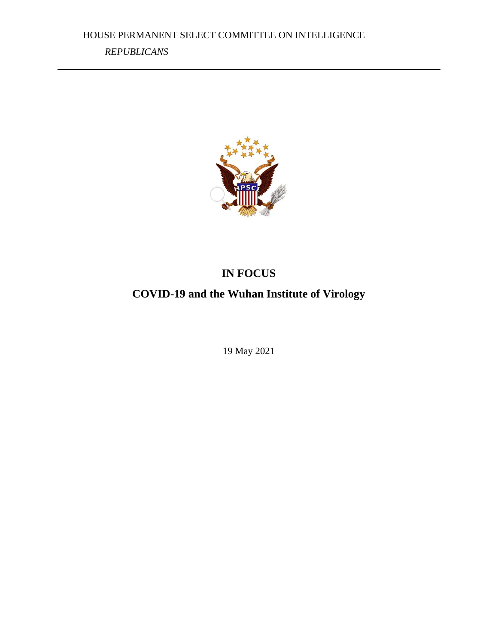*REPUBLICANS*



## **IN FOCUS**

## **COVID-19 and the Wuhan Institute of Virology**

19 May 2021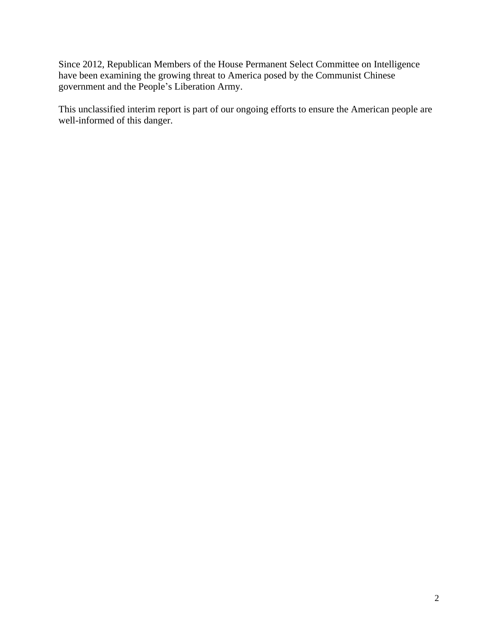Since 2012, Republican Members of the House Permanent Select Committee on Intelligence have been examining the growing threat to America posed by the Communist Chinese government and the People's Liberation Army.

This unclassified interim report is part of our ongoing efforts to ensure the American people are well-informed of this danger.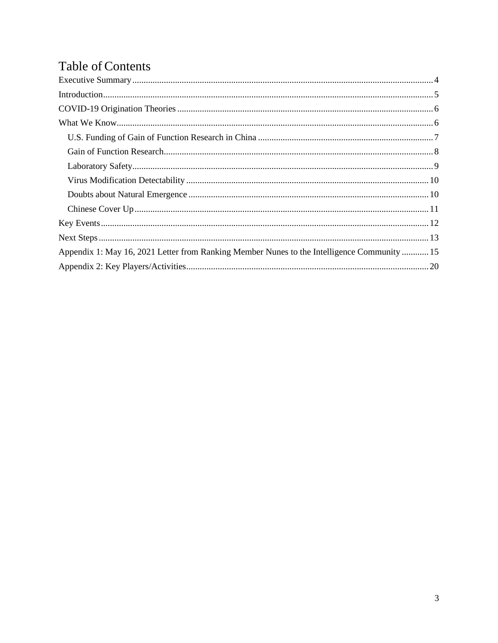# Table of Contents

| Appendix 1: May 16, 2021 Letter from Ranking Member Nunes to the Intelligence Community  15 |
|---------------------------------------------------------------------------------------------|
|                                                                                             |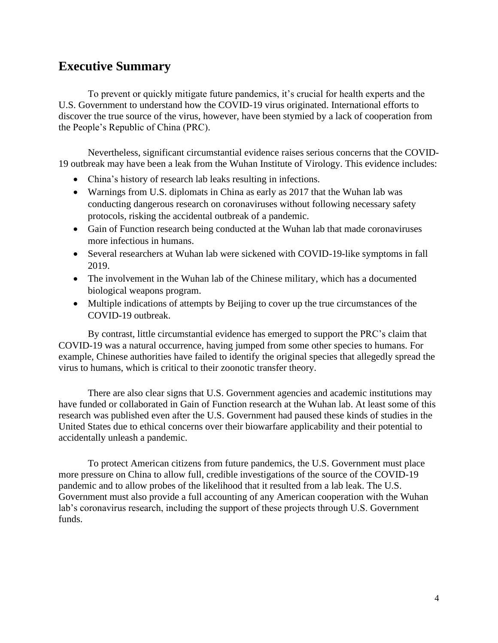### <span id="page-3-0"></span>**Executive Summary**

To prevent or quickly mitigate future pandemics, it's crucial for health experts and the U.S. Government to understand how the COVID-19 virus originated. International efforts to discover the true source of the virus, however, have been stymied by a lack of cooperation from the People's Republic of China (PRC).

Nevertheless, significant circumstantial evidence raises serious concerns that the COVID-19 outbreak may have been a leak from the Wuhan Institute of Virology. This evidence includes:

- China's history of research lab leaks resulting in infections.
- Warnings from U.S. diplomats in China as early as 2017 that the Wuhan lab was conducting dangerous research on coronaviruses without following necessary safety protocols, risking the accidental outbreak of a pandemic.
- Gain of Function research being conducted at the Wuhan lab that made coronaviruses more infectious in humans.
- Several researchers at Wuhan lab were sickened with COVID-19-like symptoms in fall 2019.
- The involvement in the Wuhan lab of the Chinese military, which has a documented biological weapons program.
- Multiple indications of attempts by Beijing to cover up the true circumstances of the COVID-19 outbreak.

By contrast, little circumstantial evidence has emerged to support the PRC's claim that COVID-19 was a natural occurrence, having jumped from some other species to humans. For example, Chinese authorities have failed to identify the original species that allegedly spread the virus to humans, which is critical to their zoonotic transfer theory.

There are also clear signs that U.S. Government agencies and academic institutions may have funded or collaborated in Gain of Function research at the Wuhan lab. At least some of this research was published even after the U.S. Government had paused these kinds of studies in the United States due to ethical concerns over their biowarfare applicability and their potential to accidentally unleash a pandemic.

To protect American citizens from future pandemics, the U.S. Government must place more pressure on China to allow full, credible investigations of the source of the COVID-19 pandemic and to allow probes of the likelihood that it resulted from a lab leak. The U.S. Government must also provide a full accounting of any American cooperation with the Wuhan lab's coronavirus research, including the support of these projects through U.S. Government funds.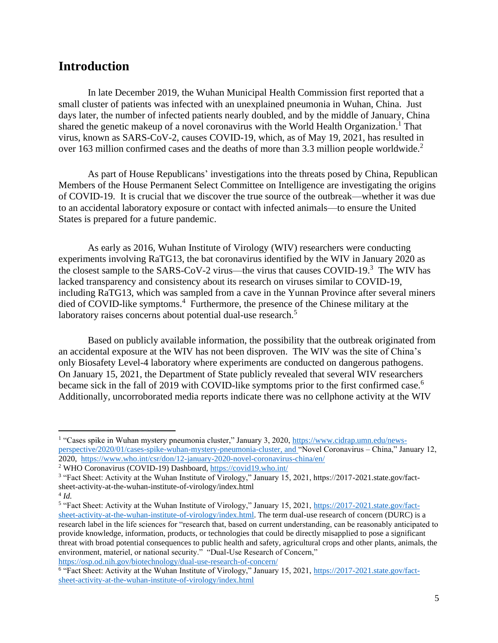### <span id="page-4-0"></span>**Introduction**

In late December 2019, the Wuhan Municipal Health Commission first reported that a small cluster of patients was infected with an unexplained pneumonia in Wuhan, China. Just days later, the number of infected patients nearly doubled, and by the middle of January, China shared the genetic makeup of a novel coronavirus with the World Health Organization.<sup>1</sup> That virus, known as SARS-CoV-2, causes COVID-19, which, as of May 19, 2021, has resulted in over 163 million confirmed cases and the deaths of more than 3.3 million people worldwide.<sup>2</sup>

As part of House Republicans' investigations into the threats posed by China, Republican Members of the House Permanent Select Committee on Intelligence are investigating the origins of COVID-19. It is crucial that we discover the true source of the outbreak—whether it was due to an accidental laboratory exposure or contact with infected animals—to ensure the United States is prepared for a future pandemic.

As early as 2016, Wuhan Institute of Virology (WIV) researchers were conducting experiments involving RaTG13, the bat coronavirus identified by the WIV in January 2020 as the closest sample to the SARS-CoV-2 virus—the virus that causes COVID-19. 3 The WIV has lacked transparency and consistency about its research on viruses similar to COVID-19, including RaTG13, which was sampled from a cave in the Yunnan Province after several miners died of COVID-like symptoms.<sup>4</sup> Furthermore, the presence of the Chinese military at the laboratory raises concerns about potential dual-use research.<sup>5</sup>

Based on publicly available information, the possibility that the outbreak originated from an accidental exposure at the WIV has not been disproven. The WIV was the site of China's only Biosafety Level-4 laboratory where experiments are conducted on dangerous pathogens. On January 15, 2021, the Department of State publicly revealed that several WIV researchers became sick in the fall of 2019 with COVID-like symptoms prior to the first confirmed case.<sup>6</sup> Additionally, uncorroborated media reports indicate there was no cellphone activity at the WIV

<sup>&</sup>lt;sup>1</sup> "Cases spike in Wuhan mystery pneumonia cluster," January 3, 2020, [https://www.cidrap.umn.edu/news](https://www.cidrap.umn.edu/news-perspective/2020/01/cases-spike-wuhan-mystery-pneumonia-cluster)[perspective/2020/01/cases-spike-wuhan-mystery-pneumonia-cluster,](https://www.cidrap.umn.edu/news-perspective/2020/01/cases-spike-wuhan-mystery-pneumonia-cluster) and "Novel Coronavirus – China," January 12, 2020,<https://www.who.int/csr/don/12-january-2020-novel-coronavirus-china/en/>

<sup>2</sup> WHO Coronavirus (COVID-19) Dashboard[, https://covid19.who.int/](https://covid19.who.int/)

<sup>&</sup>lt;sup>3</sup> "Fact Sheet: Activity at the Wuhan Institute of Virology," January 15, 2021, https://2017-2021.state.gov/factsheet-activity-at-the-wuhan-institute-of-virology/index.html

<sup>4</sup> *Id.*

<sup>&</sup>lt;sup>5</sup> "Fact Sheet: Activity at the Wuhan Institute of Virology," January 15, 2021, [https://2017-2021.state.gov/fact](https://2017-2021.state.gov/fact-sheet-activity-at-the-wuhan-institute-of-virology/index.html)[sheet-activity-at-the-wuhan-institute-of-virology/index.html.](https://2017-2021.state.gov/fact-sheet-activity-at-the-wuhan-institute-of-virology/index.html) The term dual-use research of concern (DURC) is a research label in the life sciences for "research that, based on current understanding, can be reasonably anticipated to provide knowledge, information, products, or technologies that could be directly misapplied to pose a significant threat with broad potential consequences to public health and safety, agricultural crops and other plants, animals, the environment, materiel, or national security." "Dual-Use Research of Concern," <https://osp.od.nih.gov/biotechnology/dual-use-research-of-concern/>

<sup>&</sup>lt;sup>6</sup> "Fact Sheet: Activity at the Wuhan Institute of Virology," January 15, 2021, [https://2017-2021.state.gov/fact](https://2017-2021.state.gov/fact-sheet-activity-at-the-wuhan-institute-of-virology/index.html)[sheet-activity-at-the-wuhan-institute-of-virology/index.html](https://2017-2021.state.gov/fact-sheet-activity-at-the-wuhan-institute-of-virology/index.html)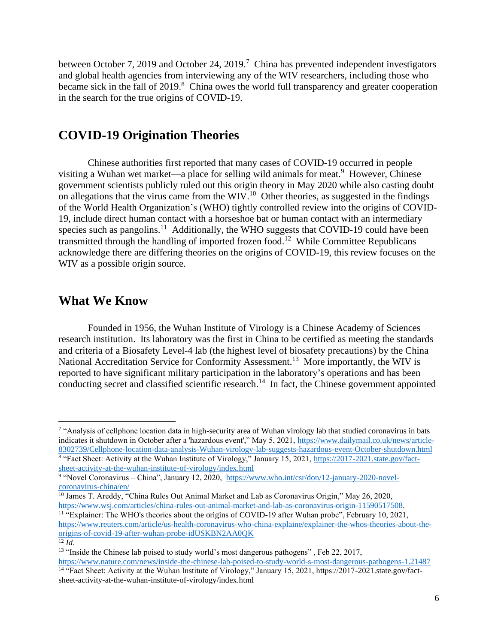between October 7, 2019 and October 24, 2019.<sup>7</sup> China has prevented independent investigators and global health agencies from interviewing any of the WIV researchers, including those who became sick in the fall of 2019.<sup>8</sup> China owes the world full transparency and greater cooperation in the search for the true origins of COVID-19.

### <span id="page-5-0"></span>**COVID-19 Origination Theories**

Chinese authorities first reported that many cases of COVID-19 occurred in people visiting a Wuhan wet market—a place for selling wild animals for meat.<sup>9</sup> However, Chinese government scientists publicly ruled out this origin theory in May 2020 while also casting doubt on allegations that the virus came from the  $WIV$ .<sup>10</sup> Other theories, as suggested in the findings of the World Health Organization's (WHO) tightly controlled review into the origins of COVID-19, include direct human contact with a horseshoe bat or human contact with an intermediary species such as pangolins.<sup>11</sup> Additionally, the WHO suggests that COVID-19 could have been transmitted through the handling of imported frozen food.<sup>12</sup> While Committee Republicans acknowledge there are differing theories on the origins of COVID-19, this review focuses on the WIV as a possible origin source.

#### <span id="page-5-1"></span>**What We Know**

Founded in 1956, the Wuhan Institute of Virology is a Chinese Academy of Sciences research institution. Its laboratory was the first in China to be certified as meeting the standards and criteria of a Biosafety Level-4 lab (the highest level of biosafety precautions) by the China National Accreditation Service for Conformity Assessment.<sup>13</sup> More importantly, the WIV is reported to have significant military participation in the laboratory's operations and has been conducting secret and classified scientific research.<sup>14</sup> In fact, the Chinese government appointed

<sup>&</sup>lt;sup>7</sup> "Analysis of cellphone location data in high-security area of Wuhan virology lab that studied coronavirus in bats indicates it shutdown in October after a 'hazardous event'," May 5, 2021, [https://www.dailymail.co.uk/news/article-](https://www.dailymail.co.uk/news/article-8302739/Cellphone-location-data-analysis-Wuhan-virology-lab-suggests-hazardous-event-October-shutdown.html)[8302739/Cellphone-location-data-analysis-Wuhan-virology-lab-suggests-hazardous-event-October-shutdown.html](https://www.dailymail.co.uk/news/article-8302739/Cellphone-location-data-analysis-Wuhan-virology-lab-suggests-hazardous-event-October-shutdown.html) <sup>8</sup> "Fact Sheet: Activity at the Wuhan Institute of Virology," January 15, 2021, [https://2017-2021.state.gov/fact](https://2017-2021.state.gov/fact-sheet-activity-at-the-wuhan-institute-of-virology/index.html)[sheet-activity-at-the-wuhan-institute-of-virology/index.html](https://2017-2021.state.gov/fact-sheet-activity-at-the-wuhan-institute-of-virology/index.html)

<sup>&</sup>lt;sup>9</sup> "Novel Coronavirus – China", January 12, 2020, [https://www.who.int/csr/don/12-january-2020-novel](https://www.who.int/csr/don/12-january-2020-novel-coronavirus-china/en/)[coronavirus-china/en/](https://www.who.int/csr/don/12-january-2020-novel-coronavirus-china/en/)

 $\frac{10}{10}$  James T. Areddy, "China Rules Out Animal Market and Lab as Coronavirus Origin," May 26, 2020, [https://www.wsj.com/articles/china-rules-out-animal-market-and-lab-as-coronavirus-origin-11590517508.](https://www.wsj.com/articles/china-rules-out-animal-market-and-lab-as-coronavirus-origin-11590517508)

<sup>&</sup>lt;sup>11</sup> "Explainer: The WHO's theories about the origins of COVID-19 after Wuhan probe", February 10, 2021, [https://www.reuters.com/article/us-health-coronavirus-who-china-explaine/explainer-the-whos-theories-about-the](https://www.reuters.com/article/us-health-coronavirus-who-china-explaine/explainer-the-whos-theories-about-the-origins-of-covid-19-after-wuhan-probe-idUSKBN2AA0QK)[origins-of-covid-19-after-wuhan-probe-idUSKBN2AA0QK](https://www.reuters.com/article/us-health-coronavirus-who-china-explaine/explainer-the-whos-theories-about-the-origins-of-covid-19-after-wuhan-probe-idUSKBN2AA0QK)  $\overline{12}$  *Id.* 

<sup>&</sup>lt;sup>13</sup> "Inside the Chinese lab poised to study world's most dangerous pathogens", Feb 22, 2017,

<https://www.nature.com/news/inside-the-chinese-lab-poised-to-study-world-s-most-dangerous-pathogens-1.21487> <sup>14</sup> "Fact Sheet: Activity at the Wuhan Institute of Virology," January 15, 2021, https://2017-2021.state.gov/factsheet-activity-at-the-wuhan-institute-of-virology/index.html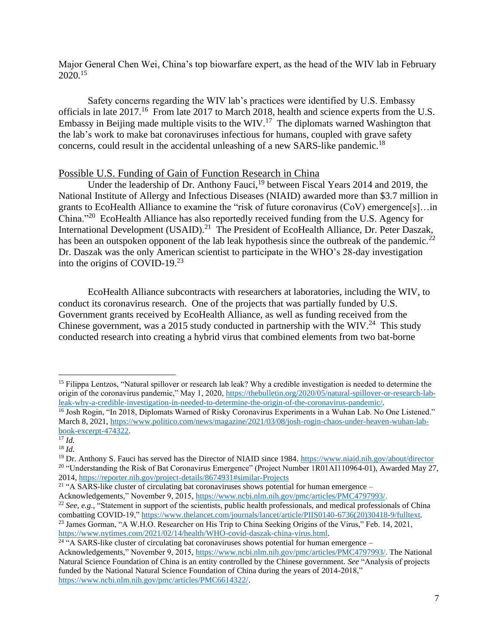Major General Chen Wei, China's top biowarfare expert, as the head of the WIV lab in February  $2020^{15}$ 

Safety concerns regarding the WIV lab's practices were identified by U.S. Embassy officials in late  $2017$ .<sup>16</sup> From late 2017 to March 2018, health and science experts from the U.S. Embassy in Beijing made multiple visits to the WIV.<sup>17</sup> The diplomats warned Washington that the lab's work to make bat coronaviruses infectious for humans, coupled with grave safety concerns, could result in the accidental unleashing of a new SARS-like pandemic.<sup>18</sup>

#### <span id="page-6-0"></span>Possible U.S. Funding of Gain of Function Research in China

Under the leadership of Dr. Anthony Fauci,<sup>19</sup> between Fiscal Years 2014 and 2019, the National Institute of Allergy and Infectious Diseases (NIAID) awarded more than \$3.7 million in grants to EcoHealth Alliance to examine the "risk of future coronavirus (CoV) emergence[s]…in China."<sup>20</sup> EcoHealth Alliance has also reportedly received funding from the U.S. Agency for International Development (USAID).<sup>21</sup> The President of EcoHealth Alliance, Dr. Peter Daszak, has been an outspoken opponent of the lab leak hypothesis since the outbreak of the pandemic.<sup>22</sup> Dr. Daszak was the only American scientist to participate in the WHO's 28-day investigation into the origins of COVID-19. $^{23}$ 

EcoHealth Alliance subcontracts with researchers at laboratories, including the WIV, to conduct its coronavirus research. One of the projects that was partially funded by U.S. Government grants received by EcoHealth Alliance, as well as funding received from the Chinese government, was a 2015 study conducted in partnership with the WIV.<sup>24</sup> This study conducted research into creating a hybrid virus that combined elements from two bat-borne

<sup>&</sup>lt;sup>15</sup> Filippa Lentzos, "Natural spillover or research lab leak? Why a credible investigation is needed to determine the origin of the coronavirus pandemic," May 1, 2020, [https://thebulletin.org/2020/05/natural-spillover-or-research-lab](https://thebulletin.org/2020/05/natural-spillover-or-research-lab-leak-why-a-credible-investigation-in-needed-to-determine-the-origin-of-the-coronavirus-pandemic/)[leak-why-a-credible-investigation-in-needed-to-determine-the-origin-of-the-coronavirus-pandemic/.](https://thebulletin.org/2020/05/natural-spillover-or-research-lab-leak-why-a-credible-investigation-in-needed-to-determine-the-origin-of-the-coronavirus-pandemic/)

<sup>16</sup> Josh Rogin, "In 2018, Diplomats Warned of Risky Coronavirus Experiments in a Wuhan Lab. No One Listened." March 8, 2021[, https://www.politico.com/news/magazine/2021/03/08/josh-rogin-chaos-under-heaven-wuhan-lab](https://www.politico.com/news/magazine/2021/03/08/josh-rogin-chaos-under-heaven-wuhan-lab-book-excerpt-474322)[book-excerpt-474322.](https://www.politico.com/news/magazine/2021/03/08/josh-rogin-chaos-under-heaven-wuhan-lab-book-excerpt-474322)

<sup>17</sup> *Id.* <sup>18</sup> *Id.*

<sup>&</sup>lt;sup>19</sup> Dr. Anthony S. Fauci has served has the Director of NIAID since 1984.<https://www.niaid.nih.gov/about/director> <sup>20</sup> "Understanding the Risk of Bat Coronavirus Emergence" (Project Number 1R01AI110964-01), Awarded May 27, 2014,<https://reporter.nih.gov/project-details/8674931#similar-Projects>

<sup>&</sup>lt;sup>21</sup> "A SARS-like cluster of circulating bat coronaviruses shows potential for human emergence –

Acknowledgements," November 9, 2015[, https://www.ncbi.nlm.nih.gov/pmc/articles/PMC4797993/.](https://www.ncbi.nlm.nih.gov/pmc/articles/PMC4797993/)

<sup>&</sup>lt;sup>22</sup> *See, e.g.*, "Statement in support of the scientists, public health professionals, and medical professionals of China combatting COVID-19," [https://www.thelancet.com/journals/lancet/article/PIIS0140-6736\(20\)30418-9/fulltext.](https://www.thelancet.com/journals/lancet/article/PIIS0140-6736(20)30418-9/fulltext) <sup>23</sup> James Gorman, "A W.H.O. Researcher on His Trip to China Seeking Origins of the Virus," Feb. 14, 2021, [https://www.nytimes.com/2021/02/14/health/WHO-covid-daszak-china-virus.html.](https://www.nytimes.com/2021/02/14/health/WHO-covid-daszak-china-virus.html)

<sup>&</sup>lt;sup>24</sup> "A SARS-like cluster of circulating bat coronaviruses shows potential for human emergence – Acknowledgements," November 9, 2015[, https://www.ncbi.nlm.nih.gov/pmc/articles/PMC4797993/.](https://www.ncbi.nlm.nih.gov/pmc/articles/PMC4797993/) The National Natural Science Foundation of China is an entity controlled by the Chinese government. *See* "Analysis of projects funded by the National Natural Science Foundation of China during the years of 2014-2018," [https://www.ncbi.nlm.nih.gov/pmc/articles/PMC6614322/.](https://www.ncbi.nlm.nih.gov/pmc/articles/PMC6614322/)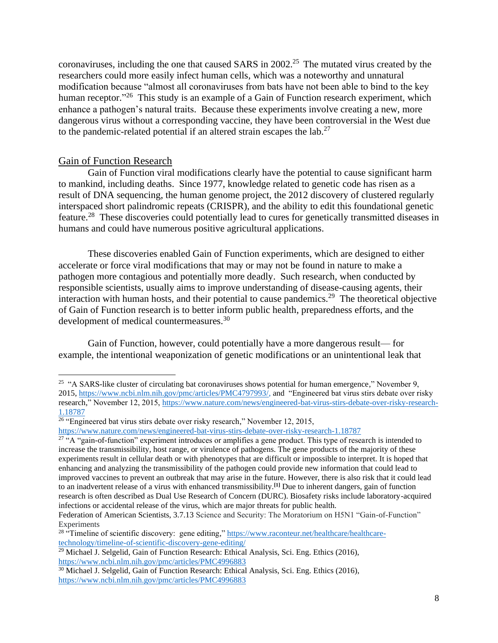coronaviruses, including the one that caused SARS in 2002.<sup>25</sup> The mutated virus created by the researchers could more easily infect human cells, which was a noteworthy and unnatural modification because "almost all coronaviruses from bats have not been able to bind to the key human receptor."<sup>26</sup> This study is an example of a Gain of Function research experiment, which enhance a pathogen's natural traits. Because these experiments involve creating a new, more dangerous virus without a corresponding vaccine, they have been controversial in the West due to the pandemic-related potential if an altered strain escapes the  $lab.^{27}$ 

#### <span id="page-7-0"></span>Gain of Function Research

Gain of Function viral modifications clearly have the potential to cause significant harm to mankind, including deaths. Since 1977, knowledge related to genetic code has risen as a result of DNA sequencing, the human genome project, the 2012 discovery of clustered regularly interspaced short palindromic repeats (CRISPR), and the ability to edit this foundational genetic feature.<sup>28</sup> These discoveries could potentially lead to cures for genetically transmitted diseases in humans and could have numerous positive agricultural applications.

These discoveries enabled Gain of Function experiments, which are designed to either accelerate or force viral modifications that may or may not be found in nature to make a pathogen more contagious and potentially more deadly. Such research, when conducted by responsible scientists, usually aims to improve understanding of disease-causing agents, their interaction with human hosts, and their potential to cause pandemics.<sup>29</sup> The theoretical objective of Gain of Function research is to better inform public health, preparedness efforts, and the development of medical countermeasures.<sup>30</sup>

Gain of Function, however, could potentially have a more dangerous result— for example, the intentional weaponization of genetic modifications or an unintentional leak that

<https://www.nature.com/news/engineered-bat-virus-stirs-debate-over-risky-research-1.18787>

<sup>&</sup>lt;sup>25</sup> "A SARS-like cluster of circulating bat coronaviruses shows potential for human emergence," November 9, 2015, [https://www.ncbi.nlm.nih.gov/pmc/articles/PMC4797993/,](https://www.ncbi.nlm.nih.gov/pmc/articles/PMC4797993/) and "Engineered bat virus stirs debate over risky research," November 12, 2015, [https://www.nature.com/news/engineered-bat-virus-stirs-debate-over-risky-research-](https://www.nature.com/news/engineered-bat-virus-stirs-debate-over-risky-research-1.18787)[1.18787](https://www.nature.com/news/engineered-bat-virus-stirs-debate-over-risky-research-1.18787)

 $\frac{26 \text{ }\text{``Engineering}}{26 \text{ ``Engineering}}$  bat virus stirs debate over risky research," November 12, 2015,

<sup>&</sup>lt;sup>27</sup> "A "gain-of-function" experiment introduces or amplifies a gene product. This type of research is intended to increase the transmissibility, host range, or virulence of pathogens. The gene products of the majority of these experiments result in cellular death or with phenotypes that are difficult or impossible to interpret. It is hoped that enhancing and analyzing the transmissibility of the pathogen could provide new information that could lead to improved vaccines to prevent an outbreak that may arise in the future. However, there is also risk that it could lead to an inadvertent release of a virus with enhanced transmissibility.**[1]** Due to inherent dangers, gain of function research is often described as Dual Use Research of Concern (DURC). Biosafety risks include laboratory-acquired infections or accidental release of the virus, which are major threats for public health.

Federation of American Scientists, 3.7.13 Science and Security: The Moratorium on H5N1 "Gain-of-Function" **Experiments** 

<sup>&</sup>lt;sup>28</sup> "Timeline of scientific discovery: gene editing," [https://www.raconteur.net/healthcare/healthcare](https://www.raconteur.net/healthcare/healthcare-technology/timeline-of-scientific-discovery-gene-editing/)[technology/timeline-of-scientific-discovery-gene-editing/](https://www.raconteur.net/healthcare/healthcare-technology/timeline-of-scientific-discovery-gene-editing/)

<sup>&</sup>lt;sup>29</sup> Michael J. Selgelid, Gain of Function Research: Ethical Analysis, Sci. Eng. Ethics (2016), <https://www.ncbi.nlm.nih.gov/pmc/articles/PMC4996883>

<sup>&</sup>lt;sup>30</sup> Michael J. Selgelid, Gain of Function Research: Ethical Analysis, Sci. Eng. Ethics (2016), <https://www.ncbi.nlm.nih.gov/pmc/articles/PMC4996883>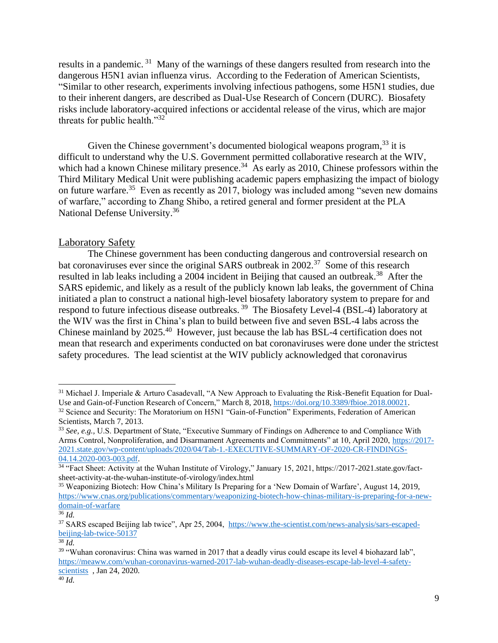results in a pandemic.<sup>31</sup> Many of the warnings of these dangers resulted from research into the dangerous H5N1 avian influenza virus. According to the Federation of American Scientists, "Similar to other research, experiments involving infectious pathogens, some H5N1 studies, due to their inherent dangers, are described as Dual-Use Research of Concern (DURC). Biosafety risks include laboratory-acquired infections or accidental release of the virus, which are major threats for public health."<sup>32</sup>

Given the Chinese government's documented biological weapons program,<sup>33</sup> it is difficult to understand why the U.S. Government permitted collaborative research at the WIV, which had a known Chinese military presence.<sup>34</sup> As early as 2010, Chinese professors within the Third Military Medical Unit were publishing academic papers emphasizing the impact of biology on future warfare.<sup>35</sup> Even as recently as 2017, biology was included among "seven new domains of warfare," according to Zhang Shibo, a retired general and former president at the PLA National Defense University.<sup>36</sup>

#### <span id="page-8-0"></span>Laboratory Safety

The Chinese government has been conducting dangerous and controversial research on bat coronaviruses ever since the original SARS outbreak in 2002.<sup>37</sup> Some of this research resulted in lab leaks including a 2004 incident in Beijing that caused an outbreak.<sup>38</sup> After the SARS epidemic, and likely as a result of the publicly known lab leaks, the government of China initiated a plan to construct a national high-level biosafety laboratory system to prepare for and respond to future infectious disease outbreaks.<sup>39</sup> The Biosafety Level-4 (BSL-4) laboratory at the WIV was the first in China's plan to build between five and seven BSL-4 labs across the Chinese mainland by 2025.<sup>40</sup> However, just because the lab has BSL-4 certification does not mean that research and experiments conducted on bat coronaviruses were done under the strictest safety procedures. The lead scientist at the WIV publicly acknowledged that coronavirus

<sup>&</sup>lt;sup>31</sup> Michael J. Imperiale & Arturo Casadevall, "A New Approach to Evaluating the Risk-Benefit Equation for Dual-Use and Gain-of-Function Research of Concern," March 8, 2018[, https://doi.org/10.3389/fbioe.2018.00021.](https://doi.org/10.3389/fbioe.2018.00021) <sup>32</sup> Science and Security: The Moratorium on H5N1 "Gain-of-Function" Experiments, Federation of American Scientists, March 7, 2013.

<sup>33</sup> *See, e.g.,* U.S. Department of State, "Executive Summary of Findings on Adherence to and Compliance With Arms Control, Nonproliferation, and Disarmament Agreements and Commitments" at 10, April 2020, [https://2017-](https://2017-2021.state.gov/wp-content/uploads/2020/04/Tab-1.-EXECUTIVE-SUMMARY-OF-2020-CR-FINDINGS-04.14.2020-003-003.pdf) [2021.state.gov/wp-content/uploads/2020/04/Tab-1.-EXECUTIVE-SUMMARY-OF-2020-CR-FINDINGS-](https://2017-2021.state.gov/wp-content/uploads/2020/04/Tab-1.-EXECUTIVE-SUMMARY-OF-2020-CR-FINDINGS-04.14.2020-003-003.pdf)[04.14.2020-003-003.pdf.](https://2017-2021.state.gov/wp-content/uploads/2020/04/Tab-1.-EXECUTIVE-SUMMARY-OF-2020-CR-FINDINGS-04.14.2020-003-003.pdf)

<sup>34</sup> "Fact Sheet: Activity at the Wuhan Institute of Virology," January 15, 2021, https://2017-2021.state.gov/factsheet-activity-at-the-wuhan-institute-of-virology/index.html

<sup>35</sup> Weaponizing Biotech: How China's Military Is Preparing for a 'New Domain of Warfare', August 14, 2019, [https://www.cnas.org/publications/commentary/weaponizing-biotech-how-chinas-military-is-preparing-for-a-new](https://www.cnas.org/publications/commentary/weaponizing-biotech-how-chinas-military-is-preparing-for-a-new-domain-of-warfare)[domain-of-warfare](https://www.cnas.org/publications/commentary/weaponizing-biotech-how-chinas-military-is-preparing-for-a-new-domain-of-warfare)

<sup>36</sup> *Id.*

<sup>37</sup> SARS escaped Beijing lab twice", Apr 25, 2004, [https://www.the-scientist.com/news-analysis/sars-escaped](https://www.the-scientist.com/news-analysis/sars-escaped-beijing-lab-twice-50137)[beijing-lab-twice-50137](https://www.the-scientist.com/news-analysis/sars-escaped-beijing-lab-twice-50137)

<sup>38</sup> *Id.*

 $39$  "Wuhan coronavirus: China was warned in 2017 that a deadly virus could escape its level 4 biohazard lab", [https://meaww.com/wuhan-coronavirus-warned-2017-lab-wuhan-deadly-diseases-escape-lab-level-4-safety](https://meaww.com/wuhan-coronavirus-warned-2017-lab-wuhan-deadly-diseases-escape-lab-level-4-safety-scientists)[scientists](https://meaww.com/wuhan-coronavirus-warned-2017-lab-wuhan-deadly-diseases-escape-lab-level-4-safety-scientists) , Jan 24, 2020.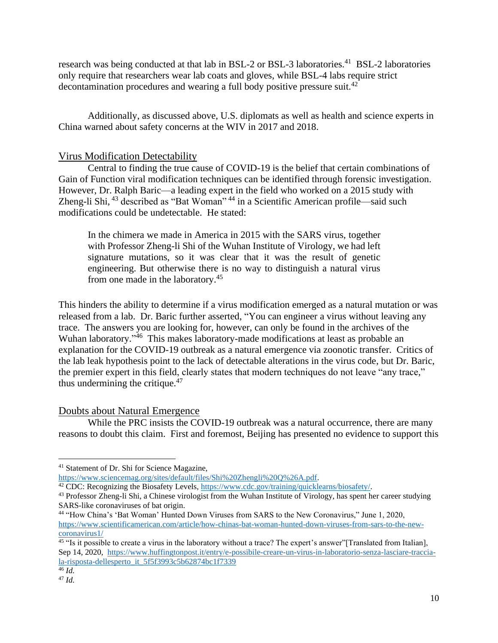research was being conducted at that lab in BSL-2 or BSL-3 laboratories.<sup>41</sup> BSL-2 laboratories only require that researchers wear lab coats and gloves, while BSL-4 labs require strict decontamination procedures and wearing a full body positive pressure suit.<sup>42</sup>

Additionally, as discussed above, U.S. diplomats as well as health and science experts in China warned about safety concerns at the WIV in 2017 and 2018.

#### <span id="page-9-0"></span>Virus Modification Detectability

Central to finding the true cause of COVID-19 is the belief that certain combinations of Gain of Function viral modification techniques can be identified through forensic investigation. However, Dr. Ralph Baric—a leading expert in the field who worked on a 2015 study with Zheng-li Shi, <sup>43</sup> described as "Bat Woman"<sup>44</sup> in a Scientific American profile—said such modifications could be undetectable. He stated:

In the chimera we made in America in 2015 with the SARS virus, together with Professor Zheng-li Shi of the Wuhan Institute of Virology, we had left signature mutations, so it was clear that it was the result of genetic engineering. But otherwise there is no way to distinguish a natural virus from one made in the laboratory.<sup>45</sup>

This hinders the ability to determine if a virus modification emerged as a natural mutation or was released from a lab. Dr. Baric further asserted, "You can engineer a virus without leaving any trace. The answers you are looking for, however, can only be found in the archives of the Wuhan laboratory."<sup>46</sup> This makes laboratory-made modifications at least as probable an explanation for the COVID-19 outbreak as a natural emergence via zoonotic transfer. Critics of the lab leak hypothesis point to the lack of detectable alterations in the virus code, but Dr. Baric, the premier expert in this field, clearly states that modern techniques do not leave "any trace," thus undermining the critique. $47$ 

#### <span id="page-9-1"></span>Doubts about Natural Emergence

While the PRC insists the COVID-19 outbreak was a natural occurrence, there are many reasons to doubt this claim. First and foremost, Beijing has presented no evidence to support this

<sup>41</sup> Statement of Dr. Shi for Science Magazine,

[https://www.sciencemag.org/sites/default/files/Shi%20Zhengli%20Q%26A.pdf.](https://www.sciencemag.org/sites/default/files/Shi%20Zhengli%20Q%26A.pdf)

<sup>42</sup> CDC: Recognizing the Biosafety Levels, [https://www.cdc.gov/training/quicklearns/biosafety/.](https://www.cdc.gov/training/quicklearns/biosafety/) 

<sup>43</sup> Professor Zheng-li Shi, a Chinese virologist from the Wuhan Institute of Virology, has spent her career studying SARS-like coronaviruses of bat origin.

<sup>44</sup> "How China's 'Bat Woman' Hunted Down Viruses from SARS to the New Coronavirus," June 1, 2020, [https://www.scientificamerican.com/article/how-chinas-bat-woman-hunted-down-viruses-from-sars-to-the-new](https://www.scientificamerican.com/article/how-chinas-bat-woman-hunted-down-viruses-from-sars-to-the-new-coronavirus1/)[coronavirus1/](https://www.scientificamerican.com/article/how-chinas-bat-woman-hunted-down-viruses-from-sars-to-the-new-coronavirus1/)

<sup>&</sup>lt;sup>45</sup> "Is it possible to create a virus in the laboratory without a trace? The expert's answer"[Translated from Italian], Sep 14, 2020, [https://www.huffingtonpost.it/entry/e-possibile-creare-un-virus-in-laboratorio-senza-lasciare-traccia](https://www.huffingtonpost.it/entry/e-possibile-creare-un-virus-in-laboratorio-senza-lasciare-traccia-la-risposta-dellesperto_it_5f5f3993c5b62874bc1f7339)[la-risposta-dellesperto\\_it\\_5f5f3993c5b62874bc1f7339](https://www.huffingtonpost.it/entry/e-possibile-creare-un-virus-in-laboratorio-senza-lasciare-traccia-la-risposta-dellesperto_it_5f5f3993c5b62874bc1f7339)

<sup>46</sup> *Id.* <sup>47</sup> *Id.*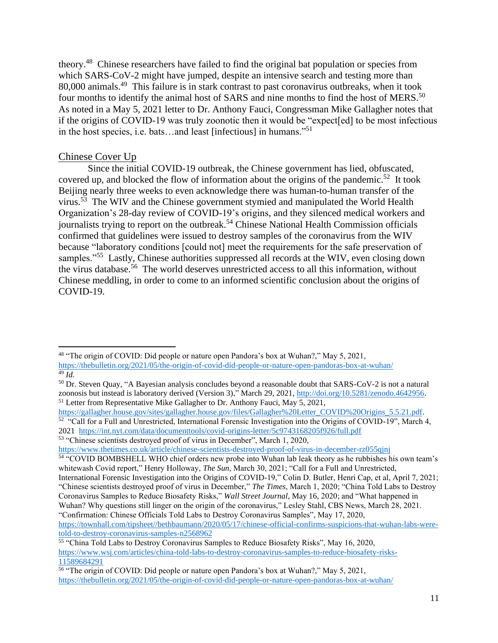theory.<sup>48</sup> Chinese researchers have failed to find the original bat population or species from which SARS-CoV-2 might have jumped, despite an intensive search and testing more than 80,000 animals. 49 This failure is in stark contrast to past coronavirus outbreaks, when it took four months to identify the animal host of SARS and nine months to find the host of MERS.<sup>50</sup> As noted in a May 5, 2021 letter to Dr. Anthony Fauci, Congressman Mike Gallagher notes that if the origins of COVID-19 was truly zoonotic then it would be "expect[ed] to be most infectious in the host species, i.e. bats…and least [infectious] in humans."<sup>51</sup>

#### <span id="page-10-0"></span>Chinese Cover Up

Since the initial COVID-19 outbreak, the Chinese government has lied, obfuscated, covered up, and blocked the flow of information about the origins of the pandemic.<sup>52</sup> It took Beijing nearly three weeks to even acknowledge there was human-to-human transfer of the virus.<sup>53</sup> The WIV and the Chinese government stymied and manipulated the World Health Organization's 28-day review of COVID-19's origins, and they silenced medical workers and journalists trying to report on the outbreak.<sup>54</sup> Chinese National Health Commission officials confirmed that guidelines were issued to destroy samples of the coronavirus from the WIV because "laboratory conditions [could not] meet the requirements for the safe preservation of samples."<sup>55</sup> Lastly, Chinese authorities suppressed all records at the WIV, even closing down the virus database.<sup>56</sup> The world deserves unrestricted access to all this information, without Chinese meddling, in order to come to an informed scientific conclusion about the origins of COVID-19.

<sup>48</sup> "The origin of COVID: Did people or nature open Pandora's box at Wuhan?," May 5, 2021, <https://thebulletin.org/2021/05/the-origin-of-covid-did-people-or-nature-open-pandoras-box-at-wuhan/> <sup>49</sup> *Id.*

<sup>&</sup>lt;sup>50</sup> Dr. Steven Quay, "A Bayesian analysis concludes beyond a reasonable doubt that SARS-CoV-2 is not a natural zoonosis but instead is laboratory derived (Version 3)," March 29, 2021, [http://doi.org/10.5281/zenodo.4642956.](http://doi.org/10.5281/zenodo.4642956)  $51$  Letter from Representative Mike Gallagher to Dr. Anthony Fauci, May 5, 2021,

[https://gallagher.house.gov/sites/gallagher.house.gov/files/Gallagher%20Letter\\_COVID%20Origins\\_5.5.21.pdf.](https://gallagher.house.gov/sites/gallagher.house.gov/files/Gallagher%20Letter_COVID%20Origins_5.5.21.pdf)

<sup>&</sup>lt;sup>52</sup> "Call for a Full and Unrestricted, International Forensic Investigation into the Origins of COVID-19", March 4, 2021 <https://int.nyt.com/data/documenttools/covid-origins-letter/5c9743168205f926/full.pdf>

<sup>&</sup>lt;sup>53</sup> "Chinese scientists destroyed proof of virus in December", March 1, 2020,

<https://www.thetimes.co.uk/article/chinese-scientists-destroyed-proof-of-virus-in-december-rz055qjnj>

<sup>&</sup>lt;sup>54</sup> "COVID BOMBSHELL WHO chief orders new probe into Wuhan lab leak theory as he rubbishes his own team's whitewash Covid report," Henry Holloway, *The Sun*, March 30, 2021; "Call for a Full and Unrestricted,

International Forensic Investigation into the Origins of COVID-19," Colin D. Butler, Henri Cap, et al, April 7, 2021; "Chinese scientists destroyed proof of virus in December," *The Times*, March 1, 2020; "China Told Labs to Destroy Coronavirus Samples to Reduce Biosafety Risks," *Wall Street Journal*, May 16, 2020; and "What happened in

Wuhan? Why questions still linger on the origin of the coronavirus," Lesley Stahl, CBS News, March 28, 2021.

<sup>&</sup>quot;Confirmation: Chinese Officials Told Labs to Destroy Coronavirus Samples", May 17, 2020,

[https://townhall.com/tipsheet//bethbaumann/2020/05/17/chinese-official-confirms-suspicions-that-wuhan-labs-were](https://townhall.com/tipsheet/bethbaumann/2020/05/17/chinese-official-confirms-suspicions-that-wuhan-labs-were-told-to-destroy-coronavirus-samples-n2568962)[told-to-destroy-coronavirus-samples-n2568962](https://townhall.com/tipsheet/bethbaumann/2020/05/17/chinese-official-confirms-suspicions-that-wuhan-labs-were-told-to-destroy-coronavirus-samples-n2568962)

<sup>55</sup> "China Told Labs to Destroy Coronavirus Samples to Reduce Biosafety Risks", May 16, 2020, [https://www.wsj.com/articles/china-told-labs-to-destroy-coronavirus-samples-to-reduce-biosafety-risks-](https://www.wsj.com/articles/china-told-labs-to-destroy-coronavirus-samples-to-reduce-biosafety-risks-11589684291)[11589684291](https://www.wsj.com/articles/china-told-labs-to-destroy-coronavirus-samples-to-reduce-biosafety-risks-11589684291) 

<sup>56</sup> "The origin of COVID: Did people or nature open Pandora's box at Wuhan?," May 5, 2021, <https://thebulletin.org/2021/05/the-origin-of-covid-did-people-or-nature-open-pandoras-box-at-wuhan/>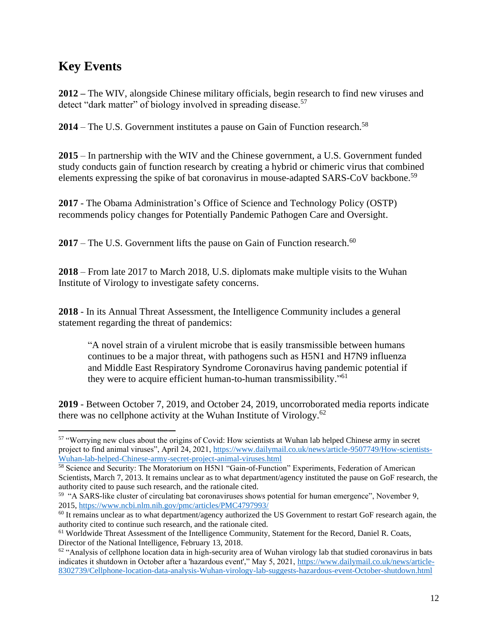## <span id="page-11-0"></span>**Key Events**

**2012 –** The WIV, alongside Chinese military officials, begin research to find new viruses and detect "dark matter" of biology involved in spreading disease.<sup>57</sup>

**2014** – The U.S. Government institutes a pause on Gain of Function research. 58

**2015** – In partnership with the WIV and the Chinese government, a U.S. Government funded study conducts gain of function research by creating a hybrid or chimeric virus that combined elements expressing the spike of bat coronavirus in mouse-adapted SARS-CoV backbone. 59

**2017** - The Obama Administration's Office of Science and Technology Policy (OSTP) recommends policy changes for Potentially Pandemic Pathogen Care and Oversight.

**2017** – The U.S. Government lifts the pause on Gain of Function research.<sup>60</sup>

**2018** – From late 2017 to March 2018, U.S. diplomats make multiple visits to the Wuhan Institute of Virology to investigate safety concerns.

**2018** - In its Annual Threat Assessment, the Intelligence Community includes a general statement regarding the threat of pandemics:

"A novel strain of a virulent microbe that is easily transmissible between humans continues to be a major threat, with pathogens such as H5N1 and H7N9 influenza and Middle East Respiratory Syndrome Coronavirus having pandemic potential if they were to acquire efficient human-to-human transmissibility."<sup>61</sup>

**2019** - Between October 7, 2019, and October 24, 2019, uncorroborated media reports indicate there was no cellphone activity at the Wuhan Institute of Virology.<sup>62</sup>

<sup>57</sup> "Worrying new clues about the origins of Covid: How scientists at Wuhan lab helped Chinese army in secret project to find animal viruses", April 24, 2021, [https://www.dailymail.co.uk/news/article-9507749/How-scientists-](https://www.dailymail.co.uk/news/article-9507749/How-scientists-Wuhan-lab-helped-Chinese-army-secret-project-animal-viruses.html)[Wuhan-lab-helped-Chinese-army-secret-project-animal-viruses.html](https://www.dailymail.co.uk/news/article-9507749/How-scientists-Wuhan-lab-helped-Chinese-army-secret-project-animal-viruses.html)

<sup>58</sup> Science and Security: The Moratorium on H5N1 "Gain-of-Function" Experiments, Federation of American Scientists, March 7, 2013. It remains unclear as to what department/agency instituted the pause on GoF research, the authority cited to pause such research, and the rationale cited.

<sup>&</sup>lt;sup>59</sup> "A SARS-like cluster of circulating bat coronaviruses shows potential for human emergence", November 9, 2015,<https://www.ncbi.nlm.nih.gov/pmc/articles/PMC4797993/>

<sup>&</sup>lt;sup>60</sup> It remains unclear as to what department/agency authorized the US Government to restart GoF research again, the authority cited to continue such research, and the rationale cited.

<sup>&</sup>lt;sup>61</sup> Worldwide Threat Assessment of the Intelligence Community, Statement for the Record, Daniel R. Coats, Director of the National Intelligence, February 13, 2018.

 $62$  "Analysis of cellphone location data in high-security area of Wuhan virology lab that studied coronavirus in bats indicates it shutdown in October after a 'hazardous event'," May 5, 2021, [https://www.dailymail.co.uk/news/article-](https://www.dailymail.co.uk/news/article-8302739/Cellphone-location-data-analysis-Wuhan-virology-lab-suggests-hazardous-event-October-shutdown.html)[8302739/Cellphone-location-data-analysis-Wuhan-virology-lab-suggests-hazardous-event-October-shutdown.html](https://www.dailymail.co.uk/news/article-8302739/Cellphone-location-data-analysis-Wuhan-virology-lab-suggests-hazardous-event-October-shutdown.html)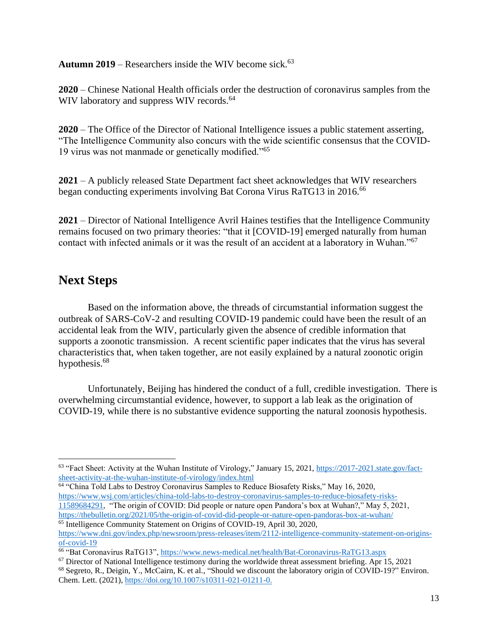**Autumn 2019** – Researchers inside the WIV become sick.<sup>63</sup>

**2020** – Chinese National Health officials order the destruction of coronavirus samples from the WIV laboratory and suppress WIV records.<sup>64</sup>

**2020** – The Office of the Director of National Intelligence issues a public statement asserting, "The Intelligence Community also concurs with the wide scientific consensus that the COVID-19 virus was not manmade or genetically modified."<sup>65</sup>

**2021** – A publicly released State Department fact sheet acknowledges that WIV researchers began conducting experiments involving Bat Corona Virus RaTG13 in 2016. 66

**2021** – Director of National Intelligence Avril Haines testifies that the Intelligence Community remains focused on two primary theories: "that it [COVID-19] emerged naturally from human contact with infected animals or it was the result of an accident at a laboratory in Wuhan."<sup>67</sup>

### <span id="page-12-0"></span>**Next Steps**

Based on the information above, the threads of circumstantial information suggest the outbreak of SARS-CoV-2 and resulting COVID-19 pandemic could have been the result of an accidental leak from the WIV, particularly given the absence of credible information that supports a zoonotic transmission. A recent scientific paper indicates that the virus has several characteristics that, when taken together, are not easily explained by a natural zoonotic origin hypothesis.<sup>68</sup>

Unfortunately, Beijing has hindered the conduct of a full, credible investigation. There is overwhelming circumstantial evidence, however, to support a lab leak as the origination of COVID-19, while there is no substantive evidence supporting the natural zoonosis hypothesis.

<sup>64</sup> "China Told Labs to Destroy Coronavirus Samples to Reduce Biosafety Risks," May 16, 2020, [https://www.wsj.com/articles/china-told-labs-to-destroy-coronavirus-samples-to-reduce-biosafety-risks-](https://www.wsj.com/articles/china-told-labs-to-destroy-coronavirus-samples-to-reduce-biosafety-risks-11589684291)[11589684291,](https://www.wsj.com/articles/china-told-labs-to-destroy-coronavirus-samples-to-reduce-biosafety-risks-11589684291) "The origin of COVID: Did people or nature open Pandora's box at Wuhan?," May 5, 2021, <https://thebulletin.org/2021/05/the-origin-of-covid-did-people-or-nature-open-pandoras-box-at-wuhan/>

<sup>65</sup> Intelligence Community Statement on Origins of COVID-19, April 30, 2020, [https://www.dni.gov/index.php/newsroom/press-releases/item/2112-intelligence-community-statement-on-origins](https://www.dni.gov/index.php/newsroom/press-releases/item/2112-intelligence-community-statement-on-origins-of-covid-19)[of-covid-19](https://www.dni.gov/index.php/newsroom/press-releases/item/2112-intelligence-community-statement-on-origins-of-covid-19)

<sup>63 &</sup>quot;Fact Sheet: Activity at the Wuhan Institute of Virology," January 15, 2021, [https://2017-2021.state.gov/fact](https://2017-2021.state.gov/fact-sheet-activity-at-the-wuhan-institute-of-virology/index.html)[sheet-activity-at-the-wuhan-institute-of-virology/index.html](https://2017-2021.state.gov/fact-sheet-activity-at-the-wuhan-institute-of-virology/index.html)

<sup>66</sup> "Bat Coronavirus RaTG13"[, https://www.news-medical.net/health/Bat-Coronavirus-RaTG13.aspx](https://www.news-medical.net/health/Bat-Coronavirus-RaTG13.aspx)

 $67$  Director of National Intelligence testimony during the worldwide threat assessment briefing. Apr 15, 2021

<sup>68</sup> Segreto, R., Deigin, Y., McCairn, K. et al., "Should we discount the laboratory origin of COVID-19?" Environ. Chem. Lett. (2021), [https://doi.org/10.1007/s10311-021-01211-0.](https://doi.org/10.1007/s10311-021-01211-0)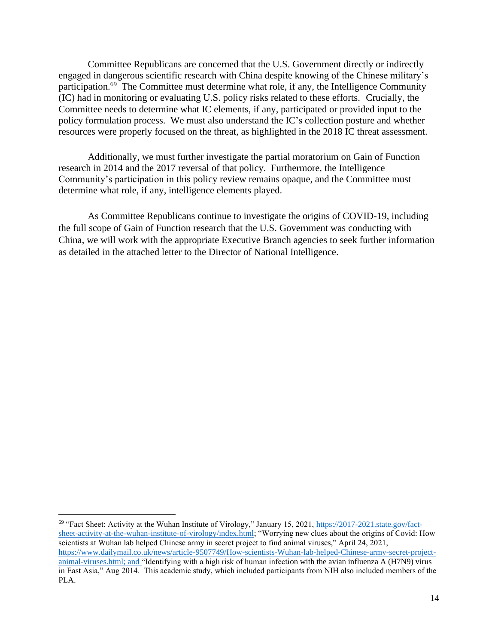Committee Republicans are concerned that the U.S. Government directly or indirectly engaged in dangerous scientific research with China despite knowing of the Chinese military's participation.<sup>69</sup> The Committee must determine what role, if any, the Intelligence Community (IC) had in monitoring or evaluating U.S. policy risks related to these efforts. Crucially, the Committee needs to determine what IC elements, if any, participated or provided input to the policy formulation process. We must also understand the IC's collection posture and whether resources were properly focused on the threat, as highlighted in the 2018 IC threat assessment.

Additionally, we must further investigate the partial moratorium on Gain of Function research in 2014 and the 2017 reversal of that policy. Furthermore, the Intelligence Community's participation in this policy review remains opaque, and the Committee must determine what role, if any, intelligence elements played.

As Committee Republicans continue to investigate the origins of COVID-19, including the full scope of Gain of Function research that the U.S. Government was conducting with China, we will work with the appropriate Executive Branch agencies to seek further information as detailed in the attached letter to the Director of National Intelligence.

 $^{69}$  "Fact Sheet: Activity at the Wuhan Institute of Virology," January 15, 2021, [https://2017-2021.state.gov/fact](https://2017-2021.state.gov/fact-sheet-activity-at-the-wuhan-institute-of-virology/index.html)[sheet-activity-at-the-wuhan-institute-of-virology/index.html;](https://2017-2021.state.gov/fact-sheet-activity-at-the-wuhan-institute-of-virology/index.html) "Worrying new clues about the origins of Covid: How scientists at Wuhan lab helped Chinese army in secret project to find animal viruses," April 24, 2021, [https://www.dailymail.co.uk/news/article-9507749/How-scientists-Wuhan-lab-helped-Chinese-army-secret-project](https://www.dailymail.co.uk/news/article-9507749/How-scientists-Wuhan-lab-helped-Chinese-army-secret-project-animal-viruses.html)[animal-viruses.html;](https://www.dailymail.co.uk/news/article-9507749/How-scientists-Wuhan-lab-helped-Chinese-army-secret-project-animal-viruses.html) and "Identifying with a high risk of human infection with the avian influenza A (H7N9) virus in East Asia," Aug 2014. This academic study, which included participants from NIH also included members of the PLA.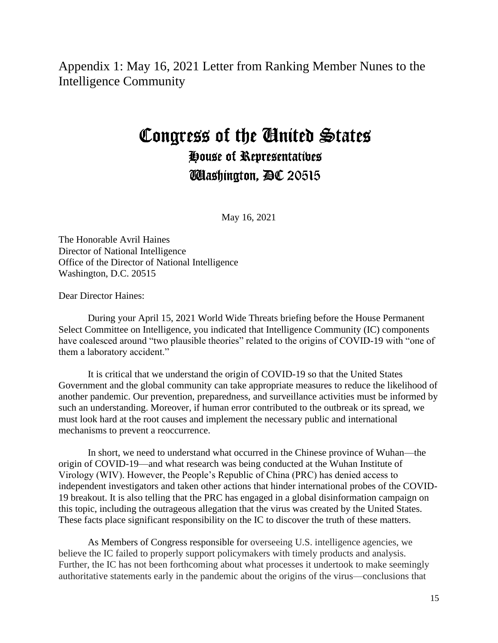<span id="page-14-0"></span>Appendix 1: May 16, 2021 Letter from Ranking Member Nunes to the Intelligence Community

# Congress of the Ginited States

House of Representatives *Ullashington, DC 20515* 

May 16, 2021

The Honorable Avril Haines Director of National Intelligence Office of the Director of National Intelligence Washington, D.C. 20515

Dear Director Haines:

During your April 15, 2021 World Wide Threats briefing before the House Permanent Select Committee on Intelligence, you indicated that Intelligence Community (IC) components have coalesced around "two plausible theories" related to the origins of COVID-19 with "one of them a laboratory accident."

It is critical that we understand the origin of COVID-19 so that the United States Government and the global community can take appropriate measures to reduce the likelihood of another pandemic. Our prevention, preparedness, and surveillance activities must be informed by such an understanding. Moreover, if human error contributed to the outbreak or its spread, we must look hard at the root causes and implement the necessary public and international mechanisms to prevent a reoccurrence.

In short, we need to understand what occurred in the Chinese province of Wuhan—the origin of COVID-19—and what research was being conducted at the Wuhan Institute of Virology (WIV). However, the People's Republic of China (PRC) has denied access to independent investigators and taken other actions that hinder international probes of the COVID-19 breakout. It is also telling that the PRC has engaged in a global disinformation campaign on this topic, including the outrageous allegation that the virus was created by the United States. These facts place significant responsibility on the IC to discover the truth of these matters.

As Members of Congress responsible for overseeing U.S. intelligence agencies, we believe the IC failed to properly support policymakers with timely products and analysis. Further, the IC has not been forthcoming about what processes it undertook to make seemingly authoritative statements early in the pandemic about the origins of the virus—conclusions that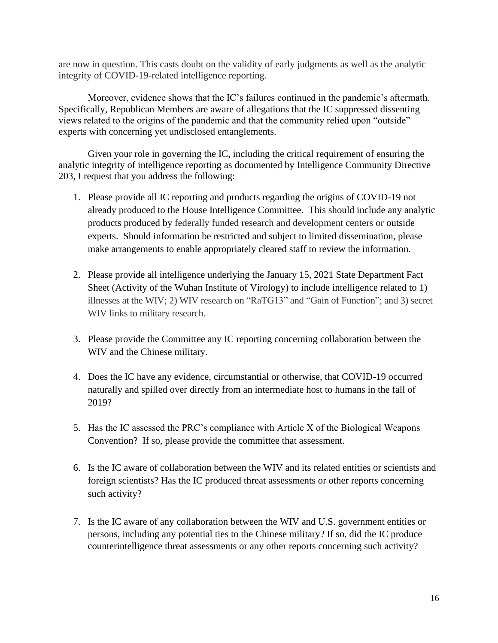are now in question. This casts doubt on the validity of early judgments as well as the analytic integrity of COVID-19-related intelligence reporting.

Moreover, evidence shows that the IC's failures continued in the pandemic's aftermath. Specifically, Republican Members are aware of allegations that the IC suppressed dissenting views related to the origins of the pandemic and that the community relied upon "outside" experts with concerning yet undisclosed entanglements.

Given your role in governing the IC, including the critical requirement of ensuring the analytic integrity of intelligence reporting as documented by Intelligence Community Directive 203, I request that you address the following:

- 1. Please provide all IC reporting and products regarding the origins of COVID-19 not already produced to the House Intelligence Committee. This should include any analytic products produced by federally funded research and development centers or outside experts. Should information be restricted and subject to limited dissemination, please make arrangements to enable appropriately cleared staff to review the information.
- 2. Please provide all intelligence underlying the January 15, 2021 State Department Fact Sheet (Activity of the Wuhan Institute of Virology) to include intelligence related to 1) illnesses at the WIV; 2) WIV research on "RaTG13" and "Gain of Function"; and 3) secret WIV links to military research.
- 3. Please provide the Committee any IC reporting concerning collaboration between the WIV and the Chinese military.
- 4. Does the IC have any evidence, circumstantial or otherwise, that COVID-19 occurred naturally and spilled over directly from an intermediate host to humans in the fall of 2019?
- 5. Has the IC assessed the PRC's compliance with Article X of the Biological Weapons Convention? If so, please provide the committee that assessment.
- 6. Is the IC aware of collaboration between the WIV and its related entities or scientists and foreign scientists? Has the IC produced threat assessments or other reports concerning such activity?
- 7. Is the IC aware of any collaboration between the WIV and U.S. government entities or persons, including any potential ties to the Chinese military? If so, did the IC produce counterintelligence threat assessments or any other reports concerning such activity?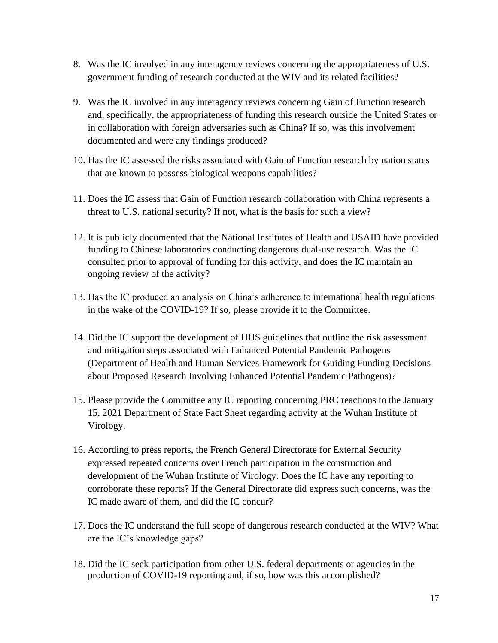- 8. Was the IC involved in any interagency reviews concerning the appropriateness of U.S. government funding of research conducted at the WIV and its related facilities?
- 9. Was the IC involved in any interagency reviews concerning Gain of Function research and, specifically, the appropriateness of funding this research outside the United States or in collaboration with foreign adversaries such as China? If so, was this involvement documented and were any findings produced?
- 10. Has the IC assessed the risks associated with Gain of Function research by nation states that are known to possess biological weapons capabilities?
- 11. Does the IC assess that Gain of Function research collaboration with China represents a threat to U.S. national security? If not, what is the basis for such a view?
- 12. It is publicly documented that the National Institutes of Health and USAID have provided funding to Chinese laboratories conducting dangerous dual-use research. Was the IC consulted prior to approval of funding for this activity, and does the IC maintain an ongoing review of the activity?
- 13. Has the IC produced an analysis on China's adherence to international health regulations in the wake of the COVID-19? If so, please provide it to the Committee.
- 14. Did the IC support the development of HHS guidelines that outline the risk assessment and mitigation steps associated with Enhanced Potential Pandemic Pathogens (Department of Health and Human Services Framework for Guiding Funding Decisions about Proposed Research Involving Enhanced Potential Pandemic Pathogens)?
- 15. Please provide the Committee any IC reporting concerning PRC reactions to the January 15, 2021 Department of State Fact Sheet regarding activity at the Wuhan Institute of Virology.
- 16. According to press reports, the French General Directorate for External Security expressed repeated concerns over French participation in the construction and development of the Wuhan Institute of Virology. Does the IC have any reporting to corroborate these reports? If the General Directorate did express such concerns, was the IC made aware of them, and did the IC concur?
- 17. Does the IC understand the full scope of dangerous research conducted at the WIV? What are the IC's knowledge gaps?
- 18. Did the IC seek participation from other U.S. federal departments or agencies in the production of COVID-19 reporting and, if so, how was this accomplished?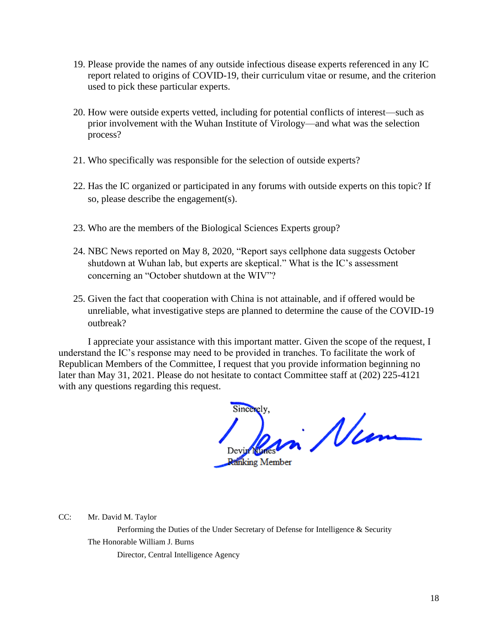- 19. Please provide the names of any outside infectious disease experts referenced in any IC report related to origins of COVID-19, their curriculum vitae or resume, and the criterion used to pick these particular experts.
- 20. How were outside experts vetted, including for potential conflicts of interest—such as prior involvement with the Wuhan Institute of Virology—and what was the selection process?
- 21. Who specifically was responsible for the selection of outside experts?
- 22. Has the IC organized or participated in any forums with outside experts on this topic? If so, please describe the engagement(s).
- 23. Who are the members of the Biological Sciences Experts group?
- 24. NBC News reported on May 8, 2020, "Report says cellphone data suggests October shutdown at Wuhan lab, but experts are skeptical." What is the IC's assessment concerning an "October shutdown at the WIV"?
- 25. Given the fact that cooperation with China is not attainable, and if offered would be unreliable, what investigative steps are planned to determine the cause of the COVID-19 outbreak?

I appreciate your assistance with this important matter. Given the scope of the request, I understand the IC's response may need to be provided in tranches. To facilitate the work of Republican Members of the Committee, I request that you provide information beginning no later than May 31, 2021. Please do not hesitate to contact Committee staff at (202) 225-4121 with any questions regarding this request.

Sincerely in Num Devin Numes

**Ranking Member** 

CC: Mr. David M. Taylor

Performing the Duties of the Under Secretary of Defense for Intelligence & Security The Honorable William J. Burns Director, Central Intelligence Agency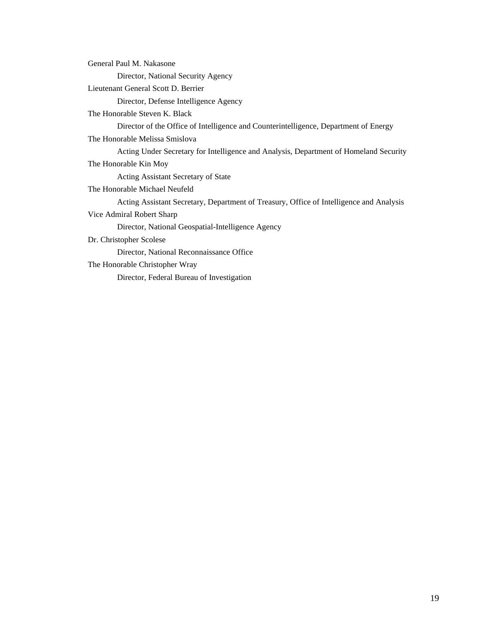| General Paul M. Nakasone                                                                |
|-----------------------------------------------------------------------------------------|
| Director, National Security Agency                                                      |
| Lieutenant General Scott D. Berrier                                                     |
| Director, Defense Intelligence Agency                                                   |
| The Honorable Steven K. Black                                                           |
| Director of the Office of Intelligence and Counterintelligence, Department of Energy    |
| The Honorable Melissa Smislova                                                          |
| Acting Under Secretary for Intelligence and Analysis, Department of Homeland Security   |
| The Honorable Kin Moy                                                                   |
| Acting Assistant Secretary of State                                                     |
| The Honorable Michael Neufeld                                                           |
| Acting Assistant Secretary, Department of Treasury, Office of Intelligence and Analysis |
| Vice Admiral Robert Sharp                                                               |
| Director, National Geospatial-Intelligence Agency                                       |
| Dr. Christopher Scolese                                                                 |
| Director, National Reconnaissance Office                                                |
| The Honorable Christopher Wray                                                          |
| Director, Federal Bureau of Investigation                                               |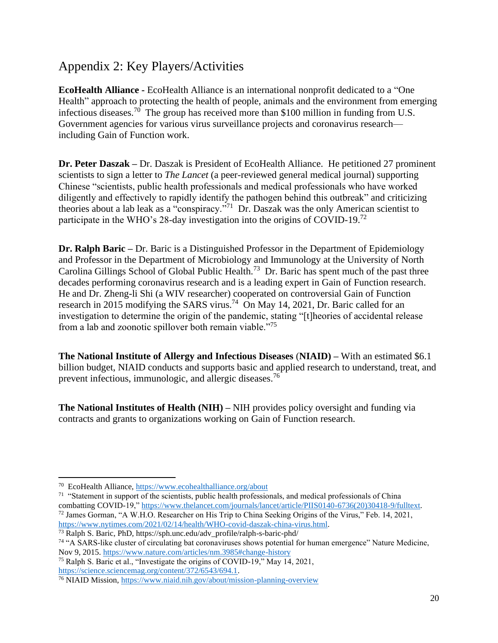## <span id="page-19-0"></span>Appendix 2: Key Players/Activities

**EcoHealth Alliance -** EcoHealth Alliance is an international nonprofit dedicated to a "One Health" approach to protecting the health of people, animals and the environment from emerging infectious diseases.<sup>70</sup> The group has received more than \$100 million in funding from U.S. Government agencies for various virus surveillance projects and coronavirus research including Gain of Function work.

**Dr. Peter Daszak –** Dr. Daszak is President of EcoHealth Alliance. He petitioned 27 prominent scientists to sign a letter to *The Lancet* (a peer-reviewed general medical journal) supporting Chinese "scientists, public health professionals and medical professionals who have worked diligently and effectively to rapidly identify the pathogen behind this outbreak" and criticizing theories about a lab leak as a "conspiracy."<sup>71</sup> Dr. Daszak was the only American scientist to participate in the WHO's 28-day investigation into the origins of COVID-19.<sup>72</sup>

**Dr. Ralph Baric –** Dr. Baric is a Distinguished Professor in the Department of Epidemiology and Professor in the Department of Microbiology and Immunology at the University of North Carolina Gillings School of Global Public Health.<sup>73</sup> Dr. Baric has spent much of the past three decades performing coronavirus research and is a leading expert in Gain of Function research. He and Dr. Zheng-li Shi (a WIV researcher) cooperated on controversial Gain of Function research in 2015 modifying the SARS virus.<sup>74</sup> On May 14, 2021, Dr. Baric called for an investigation to determine the origin of the pandemic, stating "[t]heories of accidental release from a lab and zoonotic spillover both remain viable."<sup>75</sup>

**The National Institute of Allergy and Infectious Diseases** (**NIAID) –** With an estimated \$6.1 billion budget, NIAID conducts and supports basic and applied research to understand, treat, and prevent infectious, immunologic, and allergic diseases.<sup>76</sup>

**The National Institutes of Health (NIH) –** NIH provides policy oversight and funding via contracts and grants to organizations working on Gain of Function research.

<sup>71</sup> "Statement in support of the scientists, public health professionals, and medical professionals of China combatting COVID-19," [https://www.thelancet.com/journals/lancet/article/PIIS0140-6736\(20\)30418-9/fulltext.](https://www.thelancet.com/journals/lancet/article/PIIS0140-6736(20)30418-9/fulltext) <sup>72</sup> James Gorman, "A W.H.O. Researcher on His Trip to China Seeking Origins of the Virus," Feb. 14, 2021, [https://www.nytimes.com/2021/02/14/health/WHO-covid-daszak-china-virus.html.](https://www.nytimes.com/2021/02/14/health/WHO-covid-daszak-china-virus.html)

<sup>&</sup>lt;sup>70</sup> EcoHealth Alliance,<https://www.ecohealthalliance.org/about>

<sup>73</sup> Ralph S. Baric, PhD, https://sph.unc.edu/adv\_profile/ralph-s-baric-phd/

<sup>74</sup> "A SARS-like cluster of circulating bat coronaviruses shows potential for human emergence" Nature Medicine, Nov 9, 2015[. https://www.nature.com/articles/nm.3985#change-history](https://www.nature.com/articles/nm.3985#change-history)

<sup>75</sup> Ralph S. Baric et al., "Investigate the origins of COVID-19," May 14, 2021, [https://science.sciencemag.org/content/372/6543/694.1.](https://science.sciencemag.org/content/372/6543/694.1)

<sup>76</sup> NIAID Mission,<https://www.niaid.nih.gov/about/mission-planning-overview>